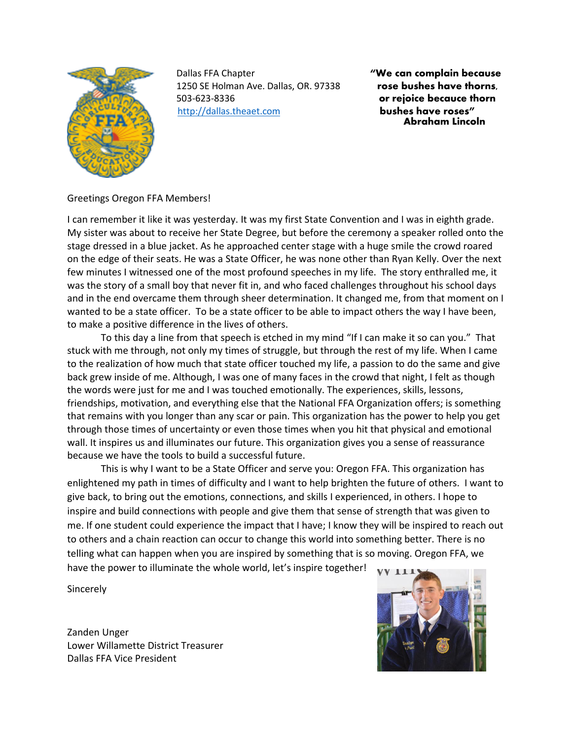

 Dallas FFA Chapter **"We can complain because** 1250 SE Holman Ave. Dallas, OR. 97338 **rose bushes have thorns,** 503-623-8336 **or rejoice becauce thorn** [http://dallas.theaet.com](http://dallas.theaet.com/) **bushes have roses"** 

 **Abraham Lincoln** 

# Greetings Oregon FFA Members!

I can remember it like it was yesterday. It was my first State Convention and I was in eighth grade. My sister was about to receive her State Degree, but before the ceremony a speaker rolled onto the stage dressed in a blue jacket. As he approached center stage with a huge smile the crowd roared on the edge of their seats. He was a State Officer, he was none other than Ryan Kelly. Over the next few minutes I witnessed one of the most profound speeches in my life. The story enthralled me, it was the story of a small boy that never fit in, and who faced challenges throughout his school days and in the end overcame them through sheer determination. It changed me, from that moment on I wanted to be a state officer. To be a state officer to be able to impact others the way I have been, to make a positive difference in the lives of others.

To this day a line from that speech is etched in my mind "If I can make it so can you." That stuck with me through, not only my times of struggle, but through the rest of my life. When I came to the realization of how much that state officer touched my life, a passion to do the same and give back grew inside of me. Although, I was one of many faces in the crowd that night, I felt as though the words were just for me and I was touched emotionally. The experiences, skills, lessons, friendships, motivation, and everything else that the National FFA Organization offers; is something that remains with you longer than any scar or pain. This organization has the power to help you get through those times of uncertainty or even those times when you hit that physical and emotional wall. It inspires us and illuminates our future. This organization gives you a sense of reassurance because we have the tools to build a successful future.

This is why I want to be a State Officer and serve you: Oregon FFA. This organization has enlightened my path in times of difficulty and I want to help brighten the future of others. I want to give back, to bring out the emotions, connections, and skills I experienced, in others. I hope to inspire and build connections with people and give them that sense of strength that was given to me. If one student could experience the impact that I have; I know they will be inspired to reach out to others and a chain reaction can occur to change this world into something better. There is no telling what can happen when you are inspired by something that is so moving. Oregon FFA, we have the power to illuminate the whole world, let's inspire together!

Sincerely

Zanden Unger Lower Willamette District Treasurer Dallas FFA Vice President